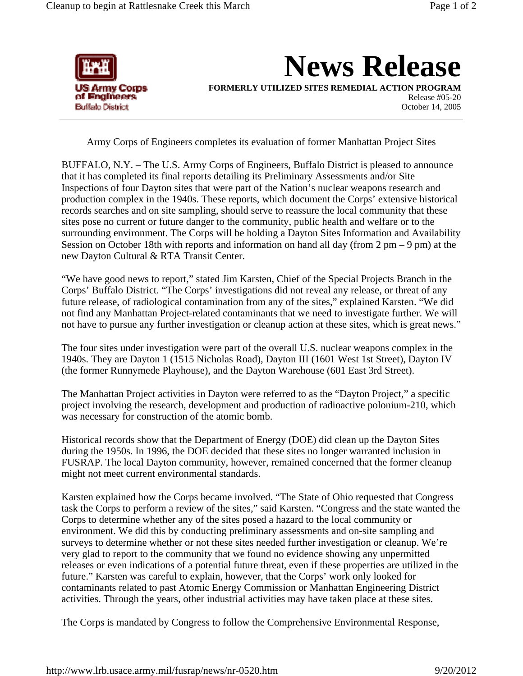

**News Release FORMERLY UTILIZED SITES REMEDIAL ACTION PROGRAM**

Release #05-20 October 14, 2005

Army Corps of Engineers completes its evaluation of former Manhattan Project Sites

BUFFALO, N.Y. – The U.S. Army Corps of Engineers, Buffalo District is pleased to announce that it has completed its final reports detailing its Preliminary Assessments and/or Site Inspections of four Dayton sites that were part of the Nation's nuclear weapons research and production complex in the 1940s. These reports, which document the Corps' extensive historical records searches and on site sampling, should serve to reassure the local community that these sites pose no current or future danger to the community, public health and welfare or to the surrounding environment. The Corps will be holding a Dayton Sites Information and Availability Session on October 18th with reports and information on hand all day (from  $2 \text{ pm} - 9 \text{ pm}$ ) at the new Dayton Cultural & RTA Transit Center.

"We have good news to report," stated Jim Karsten, Chief of the Special Projects Branch in the Corps' Buffalo District. "The Corps' investigations did not reveal any release, or threat of any future release, of radiological contamination from any of the sites," explained Karsten. "We did not find any Manhattan Project-related contaminants that we need to investigate further. We will not have to pursue any further investigation or cleanup action at these sites, which is great news."

The four sites under investigation were part of the overall U.S. nuclear weapons complex in the 1940s. They are Dayton 1 (1515 Nicholas Road), Dayton III (1601 West 1st Street), Dayton IV (the former Runnymede Playhouse), and the Dayton Warehouse (601 East 3rd Street).

The Manhattan Project activities in Dayton were referred to as the "Dayton Project," a specific project involving the research, development and production of radioactive polonium-210, which was necessary for construction of the atomic bomb.

Historical records show that the Department of Energy (DOE) did clean up the Dayton Sites during the 1950s. In 1996, the DOE decided that these sites no longer warranted inclusion in FUSRAP. The local Dayton community, however, remained concerned that the former cleanup might not meet current environmental standards.

Karsten explained how the Corps became involved. "The State of Ohio requested that Congress task the Corps to perform a review of the sites," said Karsten. "Congress and the state wanted the Corps to determine whether any of the sites posed a hazard to the local community or environment. We did this by conducting preliminary assessments and on-site sampling and surveys to determine whether or not these sites needed further investigation or cleanup. We're very glad to report to the community that we found no evidence showing any unpermitted releases or even indications of a potential future threat, even if these properties are utilized in the future." Karsten was careful to explain, however, that the Corps' work only looked for contaminants related to past Atomic Energy Commission or Manhattan Engineering District activities. Through the years, other industrial activities may have taken place at these sites.

The Corps is mandated by Congress to follow the Comprehensive Environmental Response,